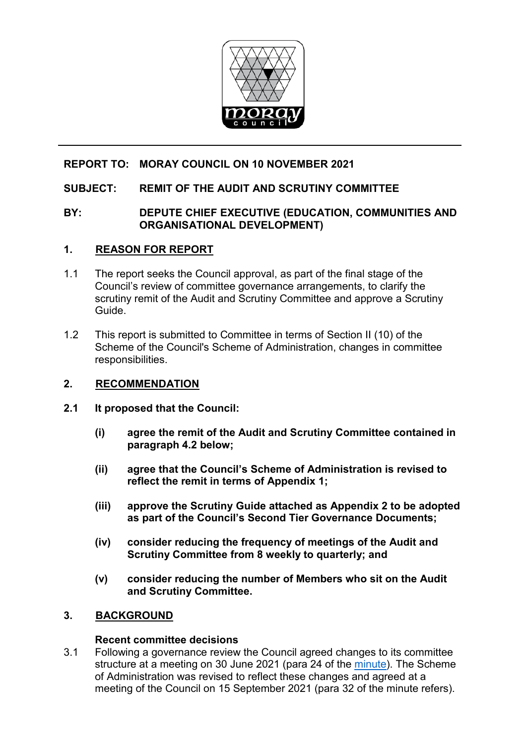

# **REPORT TO: MORAY COUNCIL ON 10 NOVEMBER 2021**

# **SUBJECT: REMIT OF THE AUDIT AND SCRUTINY COMMITTEE**

## **BY: DEPUTE CHIEF EXECUTIVE (EDUCATION, COMMUNITIES AND ORGANISATIONAL DEVELOPMENT)**

#### **1. REASON FOR REPORT**

- 1.1 The report seeks the Council approval, as part of the final stage of the Council's review of committee governance arrangements, to clarify the scrutiny remit of the Audit and Scrutiny Committee and approve a Scrutiny Guide.
- 1.2 This report is submitted to Committee in terms of Section II (10) of the Scheme of the Council's Scheme of Administration, changes in committee responsibilities.

## **2. RECOMMENDATION**

- **2.1 It proposed that the Council:**
	- **(i) agree the remit of the Audit and Scrutiny Committee contained in paragraph 4.2 below;**
	- **(ii) agree that the Council's Scheme of Administration is revised to reflect the remit in terms of Appendix 1;**
	- **(iii) approve the Scrutiny Guide attached as Appendix 2 to be adopted as part of the Council's Second Tier Governance Documents;**
	- **(iv) consider reducing the frequency of meetings of the Audit and Scrutiny Committee from 8 weekly to quarterly; and**
	- **(v) consider reducing the number of Members who sit on the Audit and Scrutiny Committee.**

#### **3. BACKGROUND**

#### **Recent committee decisions**

3.1 Following a governance review the Council agreed changes to its committee structure at a meeting on 30 June 2021 (para 24 of the [minute\)](https://moray.cmis.uk.com/moray/Document.ashx?czJKcaeAi5tUFL1DTL2UE4zNRBcoShgo=nG8TMUbIe2N%2fC6%2fSceXE3nzgdB8g7qo0Gy%2fyf23EaqAcqcsrfnup9A%3d%3d&rUzwRPf%2bZ3zd4E7Ikn8Lyw%3d%3d=pwRE6AGJFLDNlh225F5QMaQWCtPHwdhUfCZ%2fLUQzgA2uL5jNRG4jdQ%3d%3d&mCTIbCubSFfXsDGW9IXnlg%3d%3d=hFflUdN3100%3d&kCx1AnS9%2fpWZQ40DXFvdEw%3d%3d=hFflUdN3100%3d&uJovDxwdjMPoYv%2bAJvYtyA%3d%3d=ctNJFf55vVA%3d&FgPlIEJYlotS%2bYGoBi5olA%3d%3d=NHdURQburHA%3d&d9Qjj0ag1Pd993jsyOJqFvmyB7X0CSQK=ctNJFf55vVA%3d&WGewmoAfeNR9xqBux0r1Q8Za60lavYmz=ctNJFf55vVA%3d&WGewmoAfeNQ16B2MHuCpMRKZMwaG1PaO=ctNJFf55vVA%3d). The Scheme of Administration was revised to reflect these changes and agreed at a meeting of the Council on 15 September 2021 (para 32 of the minute refers).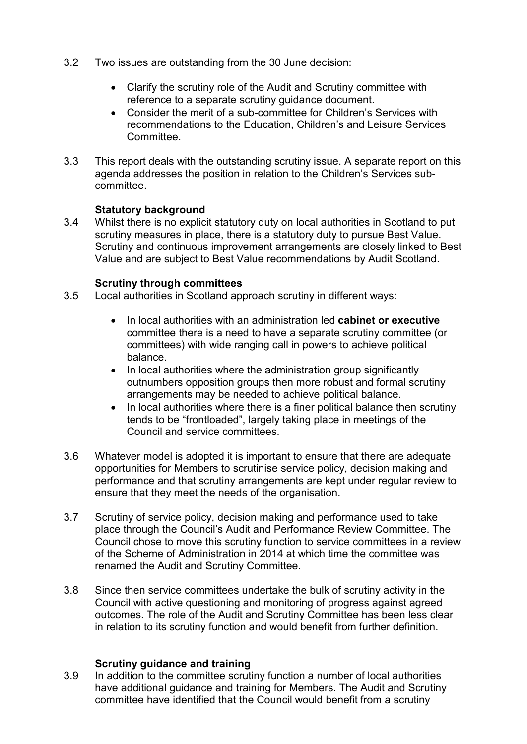- 3.2 Two issues are outstanding from the 30 June decision:
	- Clarify the scrutiny role of the Audit and Scrutiny committee with reference to a separate scrutiny guidance document.
	- Consider the merit of a sub-committee for Children's Services with recommendations to the Education, Children's and Leisure Services **Committee.**
- 3.3 This report deals with the outstanding scrutiny issue. A separate report on this agenda addresses the position in relation to the Children's Services subcommittee.

#### **Statutory background**

3.4 Whilst there is no explicit statutory duty on local authorities in Scotland to put scrutiny measures in place, there is a statutory duty to pursue Best Value. Scrutiny and continuous improvement arrangements are closely linked to Best Value and are subject to Best Value recommendations by Audit Scotland.

#### **Scrutiny through committees**

- 3.5 Local authorities in Scotland approach scrutiny in different ways:
	- In local authorities with an administration led **cabinet or executive** committee there is a need to have a separate scrutiny committee (or committees) with wide ranging call in powers to achieve political balance.
	- In local authorities where the administration group significantly outnumbers opposition groups then more robust and formal scrutiny arrangements may be needed to achieve political balance.
	- In local authorities where there is a finer political balance then scrutiny tends to be "frontloaded", largely taking place in meetings of the Council and service committees.
- 3.6 Whatever model is adopted it is important to ensure that there are adequate opportunities for Members to scrutinise service policy, decision making and performance and that scrutiny arrangements are kept under regular review to ensure that they meet the needs of the organisation.
- 3.7 Scrutiny of service policy, decision making and performance used to take place through the Council's Audit and Performance Review Committee. The Council chose to move this scrutiny function to service committees in a review of the Scheme of Administration in 2014 at which time the committee was renamed the Audit and Scrutiny Committee.
- 3.8 Since then service committees undertake the bulk of scrutiny activity in the Council with active questioning and monitoring of progress against agreed outcomes. The role of the Audit and Scrutiny Committee has been less clear in relation to its scrutiny function and would benefit from further definition.

#### **Scrutiny guidance and training**

3.9 In addition to the committee scrutiny function a number of local authorities have additional guidance and training for Members. The Audit and Scrutiny committee have identified that the Council would benefit from a scrutiny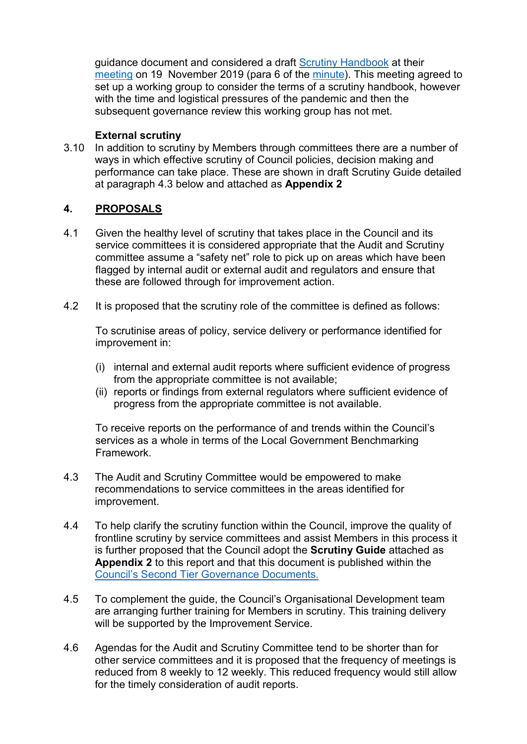guidance document and considered a draft [Scrutiny Handbook](https://moray.cmis.uk.com/moray/Document.ashx?czJKcaeAi5tUFL1DTL2UE4zNRBcoShgo=17gmcbDYWhkIbrUsZCsiqUnyxj6tkHrshVlsk3SE9%2fTiKfY1uFtFQg%3d%3d&rUzwRPf%2bZ3zd4E7Ikn8Lyw%3d%3d=pwRE6AGJFLDNlh225F5QMaQWCtPHwdhUfCZ%2fLUQzgA2uL5jNRG4jdQ%3d%3d&mCTIbCubSFfXsDGW9IXnlg%3d%3d=hFflUdN3100%3d&kCx1AnS9%2fpWZQ40DXFvdEw%3d%3d=hFflUdN3100%3d&uJovDxwdjMPoYv%2bAJvYtyA%3d%3d=ctNJFf55vVA%3d&FgPlIEJYlotS%2bYGoBi5olA%3d%3d=NHdURQburHA%3d&d9Qjj0ag1Pd993jsyOJqFvmyB7X0CSQK=ctNJFf55vVA%3d&WGewmoAfeNR9xqBux0r1Q8Za60lavYmz=ctNJFf55vVA%3d&WGewmoAfeNQ16B2MHuCpMRKZMwaG1PaO=ctNJFf55vVA%3d) at their [meeting](https://moray.cmis.uk.com/moray/CouncilandGovernance/Meetings/tabid/70/ctl/ViewMeetingPublic/mid/397/Meeting/326/Committee/8/Default.aspx) on 19 November 2019 (para 6 of the [minute\)](https://moray.cmis.uk.com/moray/Document.ashx?czJKcaeAi5tUFL1DTL2UE4zNRBcoShgo=j8x%2bMk0QNcCenNgNzQ0X2yw%2bSMO5zKEA8sieJs0v9k9He%2bQ%2b7NMCYQ%3d%3d&rUzwRPf%2bZ3zd4E7Ikn8Lyw%3d%3d=pwRE6AGJFLDNlh225F5QMaQWCtPHwdhUfCZ%2fLUQzgA2uL5jNRG4jdQ%3d%3d&mCTIbCubSFfXsDGW9IXnlg%3d%3d=hFflUdN3100%3d&kCx1AnS9%2fpWZQ40DXFvdEw%3d%3d=hFflUdN3100%3d&uJovDxwdjMPoYv%2bAJvYtyA%3d%3d=ctNJFf55vVA%3d&FgPlIEJYlotS%2bYGoBi5olA%3d%3d=NHdURQburHA%3d&d9Qjj0ag1Pd993jsyOJqFvmyB7X0CSQK=ctNJFf55vVA%3d&WGewmoAfeNR9xqBux0r1Q8Za60lavYmz=ctNJFf55vVA%3d&WGewmoAfeNQ16B2MHuCpMRKZMwaG1PaO=ctNJFf55vVA%3d). This meeting agreed to set up a working group to consider the terms of a scrutiny handbook, however with the time and logistical pressures of the pandemic and then the subsequent governance review this working group has not met.

#### **External scrutiny**

3.10 In addition to scrutiny by Members through committees there are a number of ways in which effective scrutiny of Council policies, decision making and performance can take place. These are shown in draft Scrutiny Guide detailed at paragraph 4.3 below and attached as **Appendix 2** 

#### **4. PROPOSALS**

- 4.1 Given the healthy level of scrutiny that takes place in the Council and its service committees it is considered appropriate that the Audit and Scrutiny committee assume a "safety net" role to pick up on areas which have been flagged by internal audit or external audit and regulators and ensure that these are followed through for improvement action.
- 4.2 It is proposed that the scrutiny role of the committee is defined as follows:

To scrutinise areas of policy, service delivery or performance identified for improvement in:

- (i) internal and external audit reports where sufficient evidence of progress from the appropriate committee is not available;
- (ii) reports or findings from external regulators where sufficient evidence of progress from the appropriate committee is not available.

To receive reports on the performance of and trends within the Council's services as a whole in terms of the Local Government Benchmarking Framework.

- 4.3 The Audit and Scrutiny Committee would be empowered to make recommendations to service committees in the areas identified for improvement.
- 4.4 To help clarify the scrutiny function within the Council, improve the quality of frontline scrutiny by service committees and assist Members in this process it is further proposed that the Council adopt the **Scrutiny Guide** attached as **Appendix 2** to this report and that this document is published within the [Council's Second Tier Governance Documents.](http://interchange.moray.gov.uk/int_standard/Page_113047.html)
- 4.5 To complement the guide, the Council's Organisational Development team are arranging further training for Members in scrutiny. This training delivery will be supported by the Improvement Service.
- 4.6 Agendas for the Audit and Scrutiny Committee tend to be shorter than for other service committees and it is proposed that the frequency of meetings is reduced from 8 weekly to 12 weekly. This reduced frequency would still allow for the timely consideration of audit reports.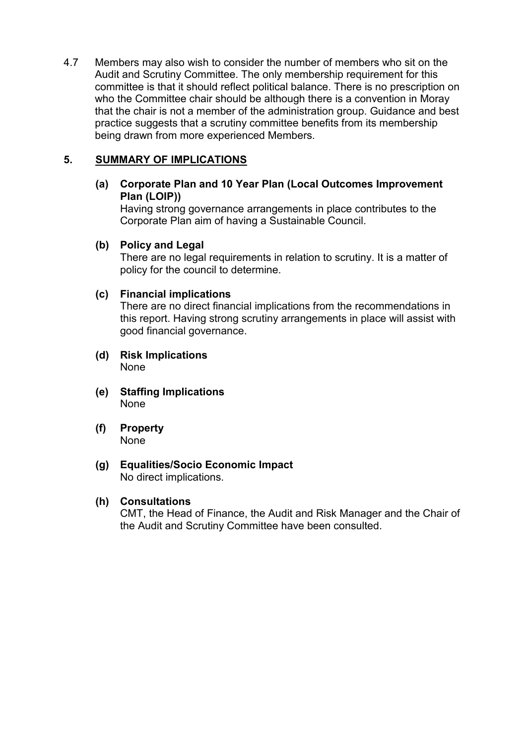4.7 Members may also wish to consider the number of members who sit on the Audit and Scrutiny Committee. The only membership requirement for this committee is that it should reflect political balance. There is no prescription on who the Committee chair should be although there is a convention in Moray that the chair is not a member of the administration group. Guidance and best practice suggests that a scrutiny committee benefits from its membership being drawn from more experienced Members.

### **5. SUMMARY OF IMPLICATIONS**

**(a) Corporate Plan and 10 Year Plan (Local Outcomes Improvement Plan (LOIP))**

Having strong governance arrangements in place contributes to the Corporate Plan aim of having a Sustainable Council.

#### **(b) Policy and Legal**

There are no legal requirements in relation to scrutiny. It is a matter of policy for the council to determine.

#### **(c) Financial implications**

There are no direct financial implications from the recommendations in this report. Having strong scrutiny arrangements in place will assist with good financial governance.

- **(d) Risk Implications** None
- **(e) Staffing Implications** None
- **(f) Property** None
- **(g) Equalities/Socio Economic Impact** No direct implications.

#### **(h) Consultations**

CMT, the Head of Finance, the Audit and Risk Manager and the Chair of the Audit and Scrutiny Committee have been consulted.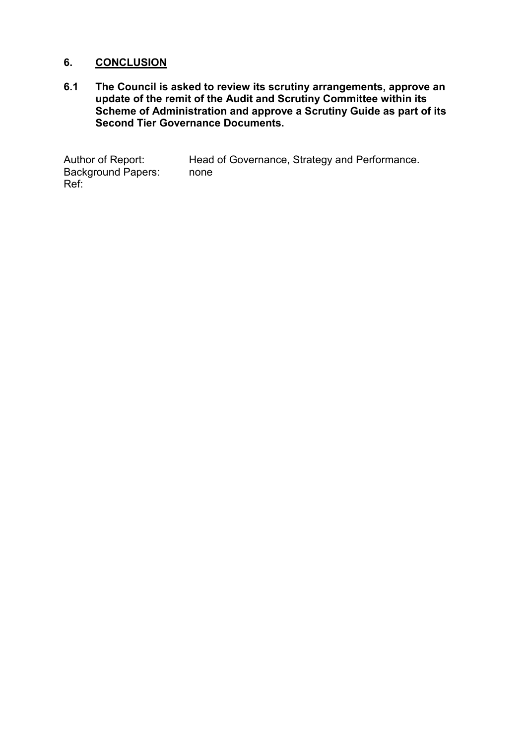#### **6. CONCLUSION**

**6.1 The Council is asked to review its scrutiny arrangements, approve an update of the remit of the Audit and Scrutiny Committee within its Scheme of Administration and approve a Scrutiny Guide as part of its Second Tier Governance Documents.** 

Author of Report: Head of Governance, Strategy and Performance.<br>Background Papers: none Background Papers: Ref: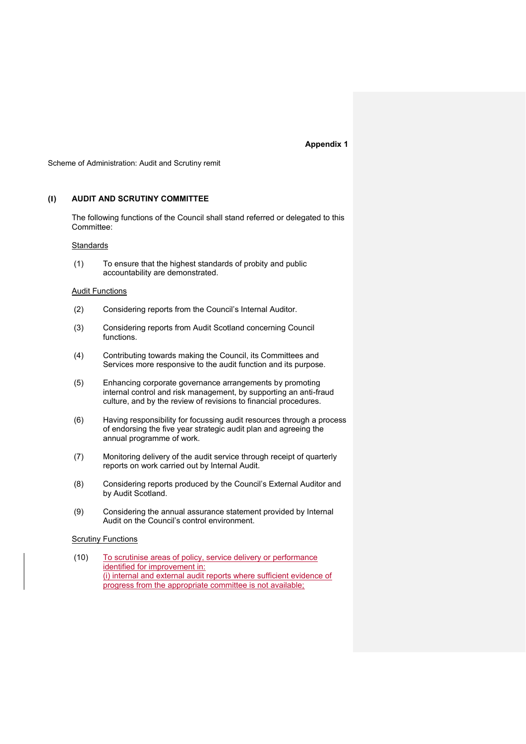#### **Appendix 1**

Scheme of Administration: Audit and Scrutiny remit

#### **(I) AUDIT AND SCRUTINY COMMITTEE**

 The following functions of the Council shall stand referred or delegated to this Committee:

#### **Standards**

(1) To ensure that the highest standards of probity and public accountability are demonstrated.

#### **Audit Functions**

- (2) Considering reports from the Council's Internal Auditor.
- (3) Considering reports from Audit Scotland concerning Council functions.
- (4) Contributing towards making the Council, its Committees and Services more responsive to the audit function and its purpose.
- (5) Enhancing corporate governance arrangements by promoting internal control and risk management, by supporting an anti-fraud culture, and by the review of revisions to financial procedures.
- (6) Having responsibility for focussing audit resources through a process of endorsing the five year strategic audit plan and agreeing the annual programme of work.
- (7) Monitoring delivery of the audit service through receipt of quarterly reports on work carried out by Internal Audit.
- (8) Considering reports produced by the Council's External Auditor and by Audit Scotland.
- (9) Considering the annual assurance statement provided by Internal Audit on the Council's control environment.

#### Scrutiny Functions

(10) To scrutinise areas of policy, service delivery or performance identified for improvement in: (i) internal and external audit reports where sufficient evidence of progress from the appropriate committee is not available;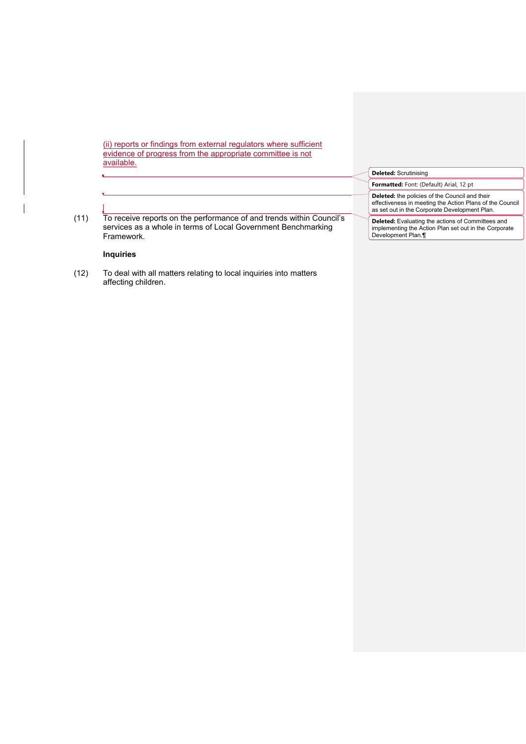(ii) reports or findings from external regulators where sufficient evidence of progress from the appropriate committee is not available.

|      |                                                                                                                                                     | <b>Deleted: Scrutinising</b>                                                                                                                                       |  |  |
|------|-----------------------------------------------------------------------------------------------------------------------------------------------------|--------------------------------------------------------------------------------------------------------------------------------------------------------------------|--|--|
|      |                                                                                                                                                     | Formatted: Font: (Default) Arial, 12 pt                                                                                                                            |  |  |
| (11) | To receive reports on the performance of and trends within Council's<br>services as a whole in terms of Local Government Benchmarking<br>Framework. | <b>Deleted:</b> the policies of the Council and their<br>effectiveness in meeting the Action Plans of the Council<br>as set out in the Corporate Development Plan. |  |  |
|      |                                                                                                                                                     | <b>Deleted:</b> Evaluating the actions of Committees and<br>implementing the Action Plan set out in the Corporate<br>Development Plan.                             |  |  |

#### **Inquiries**

 $\overline{\phantom{a}}$ 

(12) To deal with all matters relating to local inquiries into matters affecting children.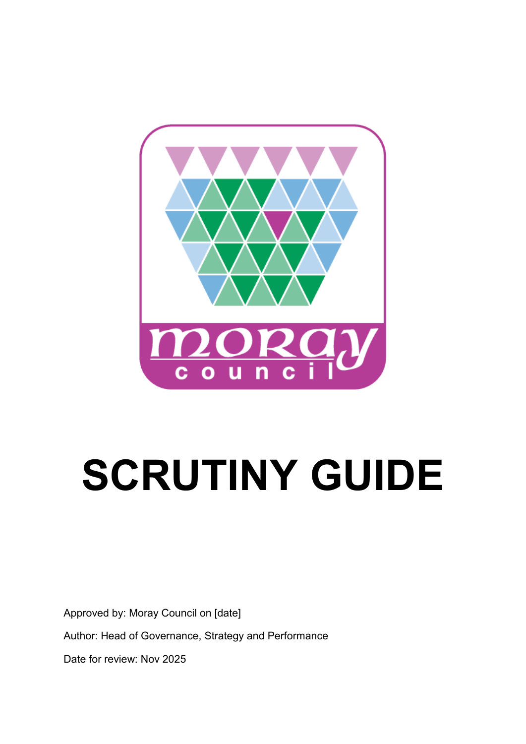

# **SCRUTINY GUIDE**

Approved by: Moray Council on [date]

Author: Head of Governance, Strategy and Performance

Date for review: Nov 2025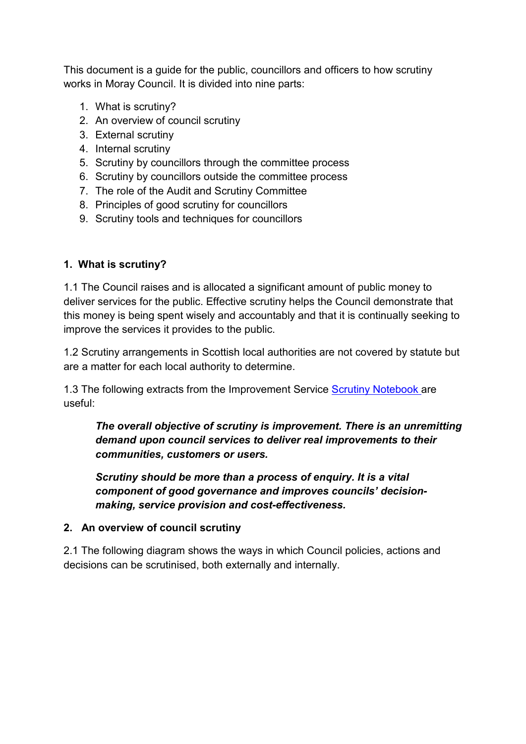This document is a guide for the public, councillors and officers to how scrutiny works in Moray Council. It is divided into nine parts:

- 1. What is scrutiny?
- 2. An overview of council scrutiny
- 3. External scrutiny
- 4. Internal scrutiny
- 5. Scrutiny by councillors through the committee process
- 6. Scrutiny by councillors outside the committee process
- 7. The role of the Audit and Scrutiny Committee
- 8. Principles of good scrutiny for councillors
- 9. Scrutiny tools and techniques for councillors

## **1. What is scrutiny?**

1.1 The Council raises and is allocated a significant amount of public money to deliver services for the public. Effective scrutiny helps the Council demonstrate that this money is being spent wisely and accountably and that it is continually seeking to improve the services it provides to the public.

1.2 Scrutiny arrangements in Scottish local authorities are not covered by statute but are a matter for each local authority to determine.

1.3 The following extracts from the Improvement Service [Scrutiny Notebook](https://www.improvementservice.org.uk/__data/assets/pdf_file/0013/8311/em-scrutiny-notebook.pdf) are useful:

*The overall objective of scrutiny is improvement. There is an unremitting demand upon council services to deliver real improvements to their communities, customers or users.* 

*Scrutiny should be more than a process of enquiry. It is a vital component of good governance and improves councils' decisionmaking, service provision and cost-effectiveness.* 

## **2. An overview of council scrutiny**

2.1 The following diagram shows the ways in which Council policies, actions and decisions can be scrutinised, both externally and internally.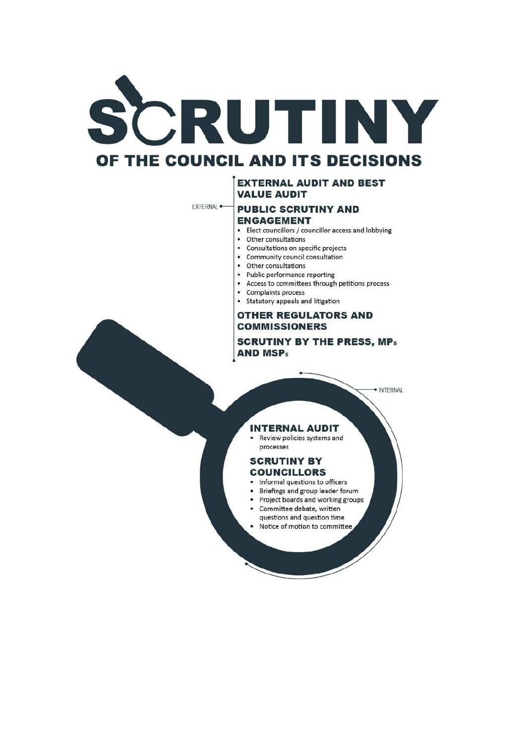

#### **EXTERNAL AUDIT AND BEST VALUE AUDIT**

EXTERNAL<sup>®</sup>

# **PUBLIC SCRUTINY AND**

#### **ENGAGEMENT**

- Elect councillors / councillor access and lobbying
- Other consultations
- Consultations on specific projects
- Community council consultation
- Other consultations
- Public performance reporting
- Access to committees through petitions process
- Complaints process
- Statutory appeals and litigation

#### **OTHER REGULATORS AND COMMISSIONERS**

**SCRUTINY BY THE PRESS, MPs AND MSPs** 

· INTERNAL

#### **INTERNAL AUDIT**

Review policies systems and processes

#### **SCRUTINY BY COUNCILLORS**

- · Informal questions to officers
- $\bullet$ Briefings and group leader forum
- Project boards and working groups
- Committee debate, written
- questions and question time
- Notice of motion to committee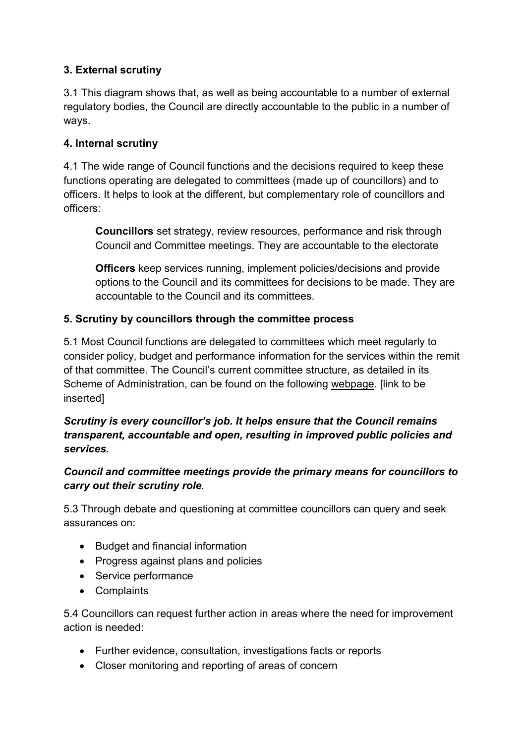# **3. External scrutiny**

3.1 This diagram shows that, as well as being accountable to a number of external regulatory bodies, the Council are directly accountable to the public in a number of ways.

# **4. Internal scrutiny**

4.1 The wide range of Council functions and the decisions required to keep these functions operating are delegated to committees (made up of councillors) and to officers. It helps to look at the different, but complementary role of councillors and officers:

**Councillors** set strategy, review resources, performance and risk through Council and Committee meetings. They are accountable to the electorate

**Officers** keep services running, implement policies/decisions and provide options to the Council and its committees for decisions to be made. They are accountable to the Council and its committees.

# **5. Scrutiny by councillors through the committee process**

5.1 Most Council functions are delegated to committees which meet regularly to consider policy, budget and performance information for the services within the remit of that committee. The Council's current committee structure, as detailed in its Scheme of Administration, can be found on the following webpage. [link to be inserted]

# *Scrutiny is every councillor's job. It helps ensure that the Council remains transparent, accountable and open, resulting in improved public policies and services.*

# *Council and committee meetings provide the primary means for councillors to carry out their scrutiny role.*

5.3 Through debate and questioning at committee councillors can query and seek assurances on:

- Budget and financial information
- Progress against plans and policies
- Service performance
- Complaints

5.4 Councillors can request further action in areas where the need for improvement action is needed:

- Further evidence, consultation, investigations facts or reports
- Closer monitoring and reporting of areas of concern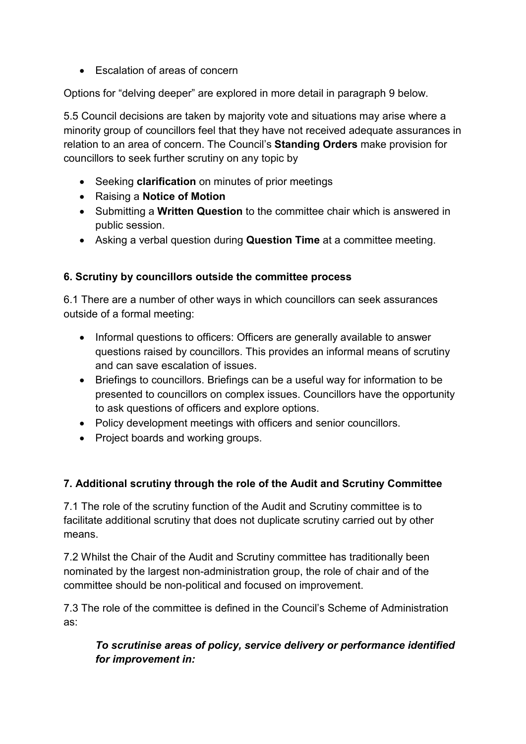• Escalation of areas of concern

Options for "delving deeper" are explored in more detail in paragraph 9 below.

5.5 Council decisions are taken by majority vote and situations may arise where a minority group of councillors feel that they have not received adequate assurances in relation to an area of concern. The Council's **Standing Orders** make provision for councillors to seek further scrutiny on any topic by

- Seeking **clarification** on minutes of prior meetings
- Raising a **Notice of Motion**
- Submitting a **Written Question** to the committee chair which is answered in public session.
- Asking a verbal question during **Question Time** at a committee meeting.

# **6. Scrutiny by councillors outside the committee process**

6.1 There are a number of other ways in which councillors can seek assurances outside of a formal meeting:

- Informal questions to officers: Officers are generally available to answer questions raised by councillors. This provides an informal means of scrutiny and can save escalation of issues.
- Briefings to councillors. Briefings can be a useful way for information to be presented to councillors on complex issues. Councillors have the opportunity to ask questions of officers and explore options.
- Policy development meetings with officers and senior councillors.
- Project boards and working groups.

# **7. Additional scrutiny through the role of the Audit and Scrutiny Committee**

7.1 The role of the scrutiny function of the Audit and Scrutiny committee is to facilitate additional scrutiny that does not duplicate scrutiny carried out by other means.

7.2 Whilst the Chair of the Audit and Scrutiny committee has traditionally been nominated by the largest non-administration group, the role of chair and of the committee should be non-political and focused on improvement.

7.3 The role of the committee is defined in the Council's Scheme of Administration as:

*To scrutinise areas of policy, service delivery or performance identified for improvement in:*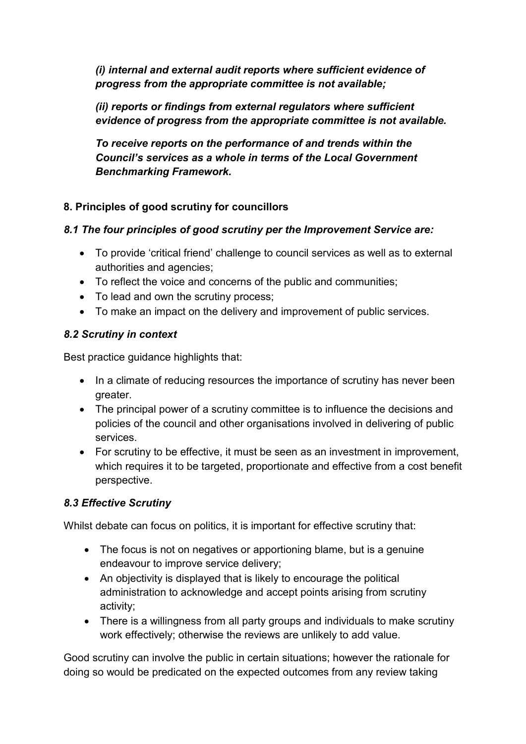*(i) internal and external audit reports where sufficient evidence of progress from the appropriate committee is not available;* 

*(ii) reports or findings from external regulators where sufficient evidence of progress from the appropriate committee is not available.* 

*To receive reports on the performance of and trends within the Council's services as a whole in terms of the Local Government Benchmarking Framework.*

# **8. Principles of good scrutiny for councillors**

# *8.1 The four principles of good scrutiny per the Improvement Service are:*

- To provide 'critical friend' challenge to council services as well as to external authorities and agencies;
- To reflect the voice and concerns of the public and communities;
- To lead and own the scrutiny process;
- To make an impact on the delivery and improvement of public services.

# *8.2 Scrutiny in context*

Best practice guidance highlights that:

- In a climate of reducing resources the importance of scrutiny has never been greater.
- The principal power of a scrutiny committee is to influence the decisions and policies of the council and other organisations involved in delivering of public services.
- For scrutiny to be effective, it must be seen as an investment in improvement, which requires it to be targeted, proportionate and effective from a cost benefit perspective.

# *8.3 Effective Scrutiny*

Whilst debate can focus on politics, it is important for effective scrutiny that:

- The focus is not on negatives or apportioning blame, but is a genuine endeavour to improve service delivery;
- An objectivity is displayed that is likely to encourage the political administration to acknowledge and accept points arising from scrutiny activity;
- There is a willingness from all party groups and individuals to make scrutiny work effectively; otherwise the reviews are unlikely to add value.

Good scrutiny can involve the public in certain situations; however the rationale for doing so would be predicated on the expected outcomes from any review taking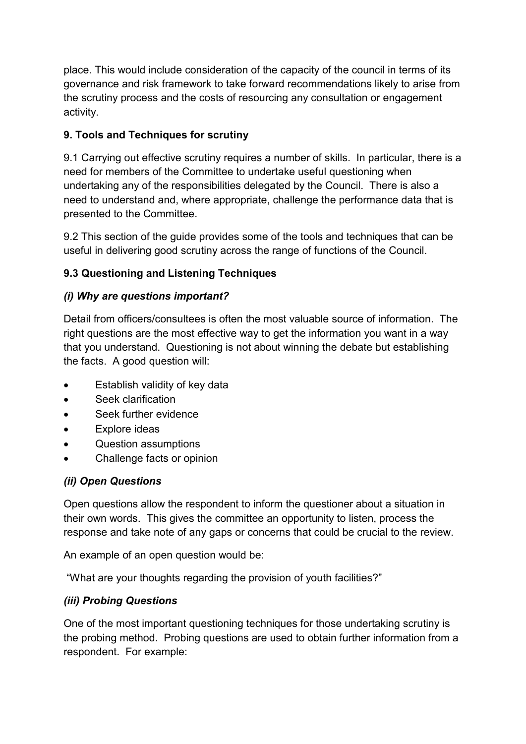place. This would include consideration of the capacity of the council in terms of its governance and risk framework to take forward recommendations likely to arise from the scrutiny process and the costs of resourcing any consultation or engagement activity.

# **9. Tools and Techniques for scrutiny**

9.1 Carrying out effective scrutiny requires a number of skills. In particular, there is a need for members of the Committee to undertake useful questioning when undertaking any of the responsibilities delegated by the Council. There is also a need to understand and, where appropriate, challenge the performance data that is presented to the Committee.

9.2 This section of the guide provides some of the tools and techniques that can be useful in delivering good scrutiny across the range of functions of the Council.

# **9.3 Questioning and Listening Techniques**

# *(i) Why are questions important?*

Detail from officers/consultees is often the most valuable source of information. The right questions are the most effective way to get the information you want in a way that you understand. Questioning is not about winning the debate but establishing the facts. A good question will:

- Establish validity of key data
- Seek clarification
- Seek further evidence
- Explore ideas
- Question assumptions
- Challenge facts or opinion

# *(ii) Open Questions*

Open questions allow the respondent to inform the questioner about a situation in their own words. This gives the committee an opportunity to listen, process the response and take note of any gaps or concerns that could be crucial to the review.

An example of an open question would be:

"What are your thoughts regarding the provision of youth facilities?"

# *(iii) Probing Questions*

One of the most important questioning techniques for those undertaking scrutiny is the probing method. Probing questions are used to obtain further information from a respondent. For example: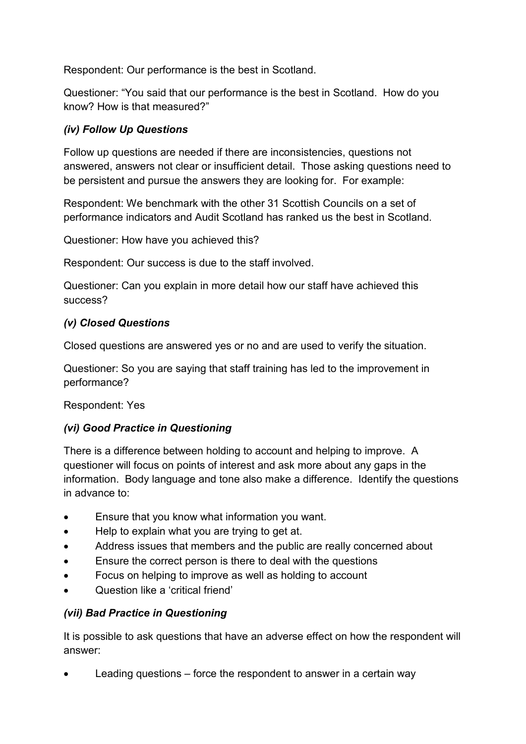Respondent: Our performance is the best in Scotland.

Questioner: "You said that our performance is the best in Scotland. How do you know? How is that measured?"

# *(iv) Follow Up Questions*

Follow up questions are needed if there are inconsistencies, questions not answered, answers not clear or insufficient detail. Those asking questions need to be persistent and pursue the answers they are looking for. For example:

Respondent: We benchmark with the other 31 Scottish Councils on a set of performance indicators and Audit Scotland has ranked us the best in Scotland.

Questioner: How have you achieved this?

Respondent: Our success is due to the staff involved.

Questioner: Can you explain in more detail how our staff have achieved this success?

# *(v) Closed Questions*

Closed questions are answered yes or no and are used to verify the situation.

Questioner: So you are saying that staff training has led to the improvement in performance?

Respondent: Yes

# *(vi) Good Practice in Questioning*

There is a difference between holding to account and helping to improve. A questioner will focus on points of interest and ask more about any gaps in the information. Body language and tone also make a difference. Identify the questions in advance to:

- Ensure that you know what information you want.
- Help to explain what you are trying to get at.
- Address issues that members and the public are really concerned about
- Ensure the correct person is there to deal with the questions
- Focus on helping to improve as well as holding to account
- Question like a 'critical friend'

# *(vii) Bad Practice in Questioning*

It is possible to ask questions that have an adverse effect on how the respondent will answer:

• Leading questions – force the respondent to answer in a certain way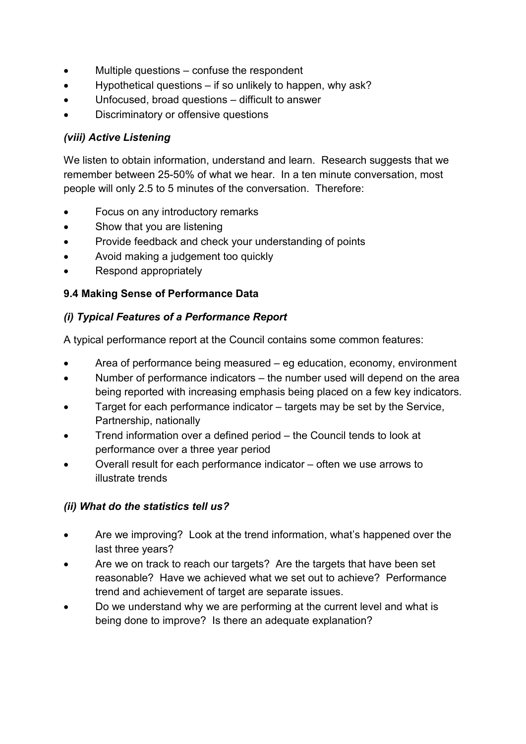- Multiple questions  $-$  confuse the respondent
- Hypothetical questions if so unlikely to happen, why ask?
- Unfocused, broad questions difficult to answer
- Discriminatory or offensive questions

# *(viii) Active Listening*

We listen to obtain information, understand and learn. Research suggests that we remember between 25-50% of what we hear. In a ten minute conversation, most people will only 2.5 to 5 minutes of the conversation. Therefore:

- Focus on any introductory remarks
- Show that you are listening
- Provide feedback and check your understanding of points
- Avoid making a judgement too quickly
- Respond appropriately

## **9.4 Making Sense of Performance Data**

## *(i) Typical Features of a Performance Report*

A typical performance report at the Council contains some common features:

- Area of performance being measured eg education, economy, environment
- Number of performance indicators the number used will depend on the area being reported with increasing emphasis being placed on a few key indicators.
- Target for each performance indicator targets may be set by the Service, Partnership, nationally
- Trend information over a defined period the Council tends to look at performance over a three year period
- Overall result for each performance indicator often we use arrows to illustrate trends

## *(ii) What do the statistics tell us?*

- Are we improving? Look at the trend information, what's happened over the last three years?
- Are we on track to reach our targets? Are the targets that have been set reasonable? Have we achieved what we set out to achieve? Performance trend and achievement of target are separate issues.
- Do we understand why we are performing at the current level and what is being done to improve? Is there an adequate explanation?